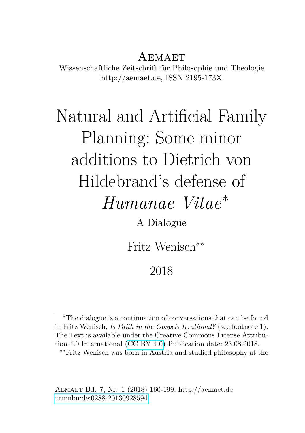## AEMAET

Wissenschaftliche Zeitschrift für Philosophie und Theologie http://aemaet.de, ISSN 2195-173X

## Natural and Artificial Family Planning: Some minor additions to Dietrich von Hildebrand's defense of *Humanae Vitae*<sup>∗</sup>

A Dialogue

Fritz Wenisch∗∗

2018

<sup>∗</sup>The dialogue is a continuation of conversations that can be found in Fritz Wenisch, *Is Faith in the Gospels Irrational?* (see footnote 1). The Text is available under the Creative Commons License Attribution 4.0 International [\(CC BY 4.0\)](https://creativecommons.org/licenses/by/4.0/deed.en) Publication date: 23.08.2018.

<sup>∗∗</sup>Fritz Wenisch was born in Austria and studied philosophy at the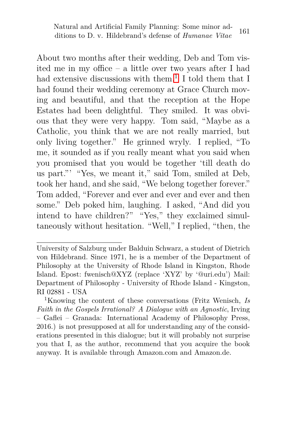About two months after their wedding, Deb and Tom visited me in my office – a little over two years after I had had extensive discussions with them.<sup>[1](#page-1-0)</sup> I told them that I had found their wedding ceremony at Grace Church moving and beautiful, and that the reception at the Hope Estates had been delightful. They smiled. It was obvious that they were very happy. Tom said, "Maybe as a Catholic, you think that we are not really married, but only living together." He grinned wryly. I replied, "To me, it sounded as if you really meant what you said when you promised that you would be together 'till death do us part."' "Yes, we meant it," said Tom, smiled at Deb, took her hand, and she said, "We belong together forever." Tom added, "Forever and ever and ever and ever and then some." Deb poked him, laughing. I asked, "And did you intend to have children?" "Yes," they exclaimed simultaneously without hesitation. "Well," I replied, "then, the

University of Salzburg under Balduin Schwarz, a student of Dietrich von Hildebrand. Since 1971, he is a member of the Department of Philosophy at the University of Rhode Island in Kingston, Rhode Island. Epost: fwenisch@XYZ (replace 'XYZ' by '@uri.edu') Mail: Department of Philosophy - University of Rhode Island - Kingston, RI 02881 - USA

<span id="page-1-0"></span><sup>1</sup>Knowing the content of these conversations (Fritz Wenisch, *Is Faith in the Gospels Irrational? A Dialogue with an Agnostic*, Irving – Gaflei – Granada: International Academy of Philosophy Press, 2016.) is not presupposed at all for understanding any of the considerations presented in this dialogue; but it will probably not surprise you that I, as the author, recommend that you acquire the book anyway. It is available through Amazon.com and Amazon.de.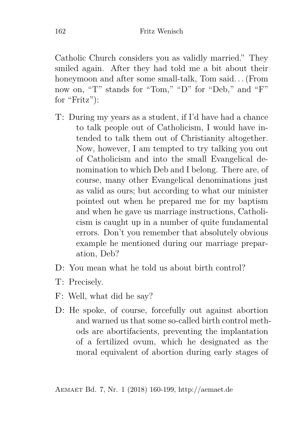Catholic Church considers you as validly married." They smiled again. After they had told me a bit about their honeymoon and after some small-talk, Tom said. . . (From now on, "T" stands for "Tom," "D" for "Deb," and "F" for "Fritz"):

- T: During my years as a student, if I'd have had a chance to talk people out of Catholicism, I would have intended to talk them out of Christianity altogether. Now, however, I am tempted to try talking you out of Catholicism and into the small Evangelical denomination to which Deb and I belong. There are, of course, many other Evangelical denominations just as valid as ours; but according to what our minister pointed out when he prepared me for my baptism and when he gave us marriage instructions, Catholicism is caught up in a number of quite fundamental errors. Don't you remember that absolutely obvious example he mentioned during our marriage preparation, Deb?
- $D:$  You mean what he told us about birth control?
- T: Precisely.
- F: Well, what did he say?
- D: He spoke, of course, forcefully out against abortion and warned us that some so-called birth control methods are abortifacients, preventing the implantation of a fertilized ovum, which he designated as the moral equivalent of abortion during early stages of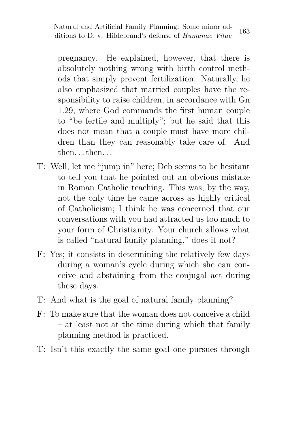pregnancy. He explained, however, that there is absolutely nothing wrong with birth control methods that simply prevent fertilization. Naturally, he also emphasized that married couples have the responsibility to raise children, in accordance with Gn 1.29, where God commands the first human couple to "be fertile and multiply"; but he said that this does not mean that a couple must have more children than they can reasonably take care of. And then. . . then. . .

- T: Well, let me "jump in" here; Deb seems to be hesitant to tell you that he pointed out an obvious mistake in Roman Catholic teaching. This was, by the way, not the only time he came across as highly critical of Catholicism; I think he was concerned that our conversations with you had attracted us too much to your form of Christianity. Your church allows what is called "natural family planning," does it not?
- F: Yes; it consists in determining the relatively few days during a woman's cycle during which she can conceive and abstaining from the conjugal act during these days.
- T: And what is the goal of natural family planning?
- F: To make sure that the woman does not conceive a child – at least not at the time during which that family planning method is practiced.
- T: Isn't this exactly the same goal one pursues through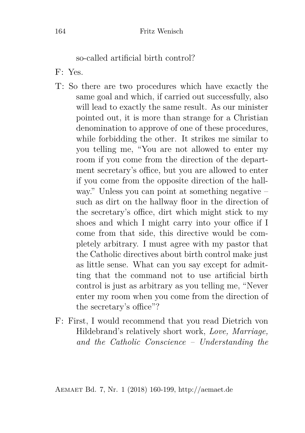so-called artificial birth control?

- F: Yes.
- T: So there are two procedures which have exactly the same goal and which, if carried out successfully, also will lead to exactly the same result. As our minister pointed out, it is more than strange for a Christian denomination to approve of one of these procedures, while forbidding the other. It strikes me similar to you telling me, "You are not allowed to enter my room if you come from the direction of the department secretary's office, but you are allowed to enter if you come from the opposite direction of the hallway." Unless you can point at something negative – such as dirt on the hallway floor in the direction of the secretary's office, dirt which might stick to my shoes and which I might carry into your office if I come from that side, this directive would be completely arbitrary. I must agree with my pastor that the Catholic directives about birth control make just as little sense. What can you say except for admitting that the command not to use artificial birth control is just as arbitrary as you telling me, "Never enter my room when you come from the direction of the secretary's office"?
- F: First, I would recommend that you read Dietrich von Hildebrand's relatively short work, *Love, Marriage, and the Catholic Conscience – Understanding the*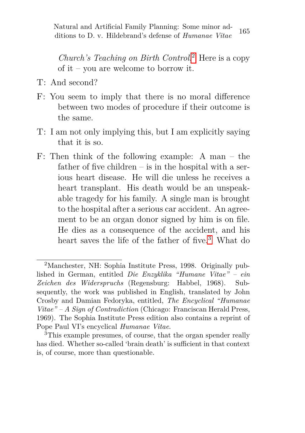*Church's Teaching on Birth Control*. [2](#page-5-0) Here is a copy of it – you are welcome to borrow it.

- T: And second?
- F: You seem to imply that there is no moral difference between two modes of procedure if their outcome is the same.
- T: I am not only implying this, but I am explicitly saying that it is so.
- F: Then think of the following example: A man the father of five children  $-$  is in the hospital with a serious heart disease. He will die unless he receives a heart transplant. His death would be an unspeakable tragedy for his family. A single man is brought to the hospital after a serious car accident. An agreement to be an organ donor signed by him is on file. He dies as a consequence of the accident, and his heart saves the life of the father of five.<sup>[3](#page-5-1)</sup> What do

<span id="page-5-0"></span><sup>2</sup>Manchester, NH: Sophia Institute Press, 1998. Originally published in German, entitled *Die Enzyklika "Humane Vitae" – ein Zeichen des Widerspruchs* (Regensburg: Habbel, 1968). Subsequently, the work was published in English, translated by John Crosby and Damian Fedoryka, entitled, *The Encyclical "Humanae Vitae" – A Sign of Contradiction* (Chicago: Franciscan Herald Press, 1969). The Sophia Institute Press edition also contains a reprint of Pope Paul VI's encyclical *Humanae Vitae*.

<span id="page-5-1"></span><sup>3</sup>This example presumes, of course, that the organ spender really has died. Whether so-called 'brain death' is sufficient in that context is, of course, more than questionable.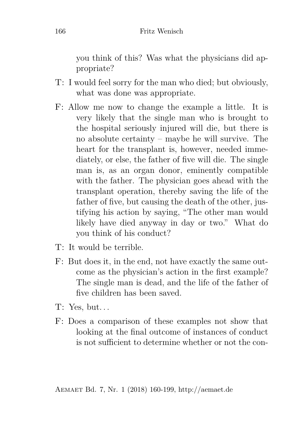you think of this? Was what the physicians did appropriate?

- T: I would feel sorry for the man who died; but obviously, what was done was appropriate.
- F: Allow me now to change the example a little. It is very likely that the single man who is brought to the hospital seriously injured will die, but there is no absolute certainty – maybe he will survive. The heart for the transplant is, however, needed immediately, or else, the father of five will die. The single man is, as an organ donor, eminently compatible with the father. The physician goes ahead with the transplant operation, thereby saving the life of the father of five, but causing the death of the other, justifying his action by saying, "The other man would likely have died anyway in day or two." What do you think of his conduct?
- T: It would be terrible.
- F: But does it, in the end, not have exactly the same outcome as the physician's action in the first example? The single man is dead, and the life of the father of five children has been saved.
- $T: Yes, but...$
- F: Does a comparison of these examples not show that looking at the final outcome of instances of conduct is not sufficient to determine whether or not the con-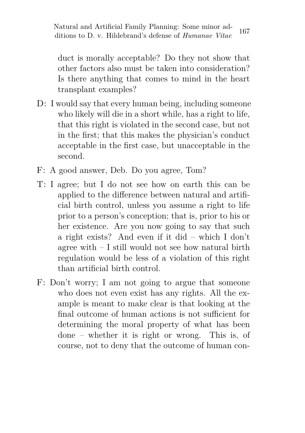duct is morally acceptable? Do they not show that other factors also must be taken into consideration? Is there anything that comes to mind in the heart transplant examples?

- D: I would say that every human being, including someone who likely will die in a short while, has a right to life, that this right is violated in the second case, but not in the first; that this makes the physician's conduct acceptable in the first case, but unacceptable in the second.
- F: A good answer, Deb. Do you agree, Tom?
- T: I agree; but I do not see how on earth this can be applied to the difference between natural and artificial birth control, unless you assume a right to life prior to a person's conception; that is, prior to his or her existence. Are you now going to say that such a right exists? And even if it did – which I don't agree with – I still would not see how natural birth regulation would be less of a violation of this right than artificial birth control.
- F: Don't worry; I am not going to argue that someone who does not even exist has any rights. All the example is meant to make clear is that looking at the final outcome of human actions is not sufficient for determining the moral property of what has been done – whether it is right or wrong. This is, of course, not to deny that the outcome of human con-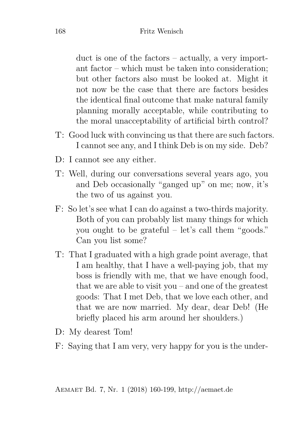duct is one of the factors – actually, a very important factor – which must be taken into consideration; but other factors also must be looked at. Might it not now be the case that there are factors besides the identical final outcome that make natural family planning morally acceptable, while contributing to the moral unacceptability of artificial birth control?

- T: Good luck with convincing us that there are such factors. I cannot see any, and I think Deb is on my side. Deb?
- D: I cannot see any either.
- T: Well, during our conversations several years ago, you and Deb occasionally "ganged up" on me; now, it's the two of us against you.
- F: So let's see what I can do against a two-thirds majority. Both of you can probably list many things for which you ought to be grateful – let's call them "goods." Can you list some?
- T: That I graduated with a high grade point average, that I am healthy, that I have a well-paying job, that my boss is friendly with me, that we have enough food, that we are able to visit you – and one of the greatest goods: That I met Deb, that we love each other, and that we are now married. My dear, dear Deb! (He briefly placed his arm around her shoulders.)
- D: My dearest Tom!
- F: Saying that I am very, very happy for you is the under-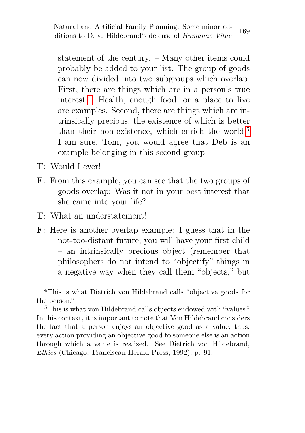statement of the century. – Many other items could probably be added to your list. The group of goods can now divided into two subgroups which overlap. First, there are things which are in a person's true interest.[4](#page-9-0) Health, enough food, or a place to live are examples. Second, there are things which are intrinsically precious, the existence of which is better than their non-existence, which enrich the world.<sup>[5](#page-9-1)</sup> I am sure, Tom, you would agree that Deb is an example belonging in this second group.

- T: Would I ever!
- F: From this example, you can see that the two groups of goods overlap: Was it not in your best interest that she came into your life?
- T: What an understatement!
- F: Here is another overlap example: I guess that in the not-too-distant future, you will have your first child – an intrinsically precious object (remember that philosophers do not intend to "objectify" things in a negative way when they call them "objects," but

<span id="page-9-0"></span><sup>4</sup>This is what Dietrich von Hildebrand calls "objective goods for the person."

<span id="page-9-1"></span> $5\text{This}$  is what von Hildebrand calls objects endowed with "values." In this context, it is important to note that Von Hildebrand considers the fact that a person enjoys an objective good as a value; thus, every action providing an objective good to someone else is an action through which a value is realized. See Dietrich von Hildebrand, *Ethics* (Chicago: Franciscan Herald Press, 1992), p. 91.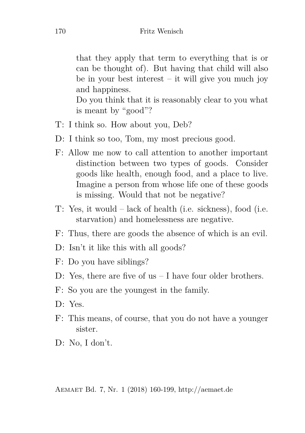that they apply that term to everything that is or can be thought of). But having that child will also be in your best interest – it will give you much joy and happiness.

Do you think that it is reasonably clear to you what is meant by "good"?

- T: I think so. How about you, Deb?
- D: I think so too, Tom, my most precious good.
- F: Allow me now to call attention to another important distinction between two types of goods. Consider goods like health, enough food, and a place to live. Imagine a person from whose life one of these goods is missing. Would that not be negative?
- T: Yes, it would lack of health (i.e. sickness), food (i.e. starvation) and homelessness are negative.
- F: Thus, there are goods the absence of which is an evil.
- D: Isn't it like this with all goods?
- F: Do you have siblings?
- D: Yes, there are five of us I have four older brothers.
- F: So you are the youngest in the family.
- D: Yes.
- F: This means, of course, that you do not have a younger sister.
- D: No, I don't.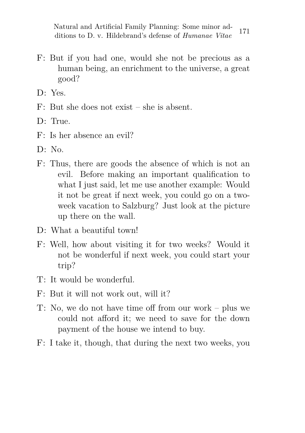- F: But if you had one, would she not be precious as a human being, an enrichment to the universe, a great good?
- D: Yes.
- F: But she does not exist she is absent.
- D: True.
- F: Is her absence an evil?
- $D \cdot N_0$
- F: Thus, there are goods the absence of which is not an evil. Before making an important qualification to what I just said, let me use another example: Would it not be great if next week, you could go on a twoweek vacation to Salzburg? Just look at the picture up there on the wall.
- D: What a beautiful town!
- F: Well, how about visiting it for two weeks? Would it not be wonderful if next week, you could start your trip?
- T: It would be wonderful.
- F: But it will not work out, will it?
- T: No, we do not have time off from our work plus we could not afford it; we need to save for the down payment of the house we intend to buy.
- F: I take it, though, that during the next two weeks, you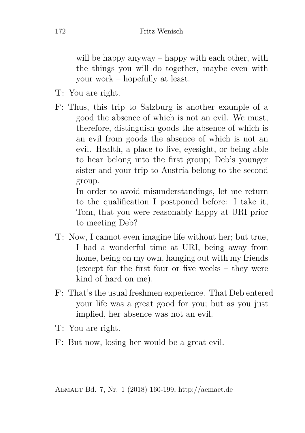will be happy anyway – happy with each other, with the things you will do together, maybe even with your work – hopefully at least.

- T: You are right.
- F: Thus, this trip to Salzburg is another example of a good the absence of which is not an evil. We must, therefore, distinguish goods the absence of which is an evil from goods the absence of which is not an evil. Health, a place to live, eyesight, or being able to hear belong into the first group; Deb's younger sister and your trip to Austria belong to the second group.

In order to avoid misunderstandings, let me return to the qualification I postponed before: I take it, Tom, that you were reasonably happy at URI prior to meeting Deb?

- T: Now, I cannot even imagine life without her; but true, I had a wonderful time at URI, being away from home, being on my own, hanging out with my friends (except for the first four or five weeks – they were kind of hard on me).
- F: That's the usual freshmen experience. That Deb entered your life was a great good for you; but as you just implied, her absence was not an evil.
- T: You are right.
- F: But now, losing her would be a great evil.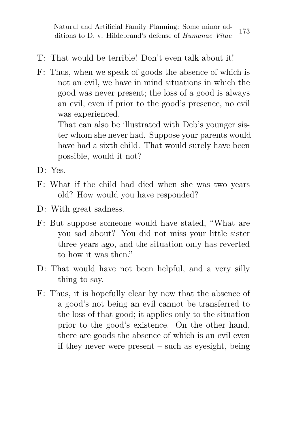- T: That would be terrible! Don't even talk about it!
- F: Thus, when we speak of goods the absence of which is not an evil, we have in mind situations in which the good was never present; the loss of a good is always an evil, even if prior to the good's presence, no evil was experienced.

That can also be illustrated with Deb's younger sister whom she never had. Suppose your parents would have had a sixth child. That would surely have been possible, would it not?

- D: Yes.
- F: What if the child had died when she was two years old? How would you have responded?
- D: With great sadness.
- F: But suppose someone would have stated, "What are you sad about? You did not miss your little sister three years ago, and the situation only has reverted to how it was then."
- D: That would have not been helpful, and a very silly thing to say.
- F: Thus, it is hopefully clear by now that the absence of a good's not being an evil cannot be transferred to the loss of that good; it applies only to the situation prior to the good's existence. On the other hand, there are goods the absence of which is an evil even if they never were present  $-$  such as evesight, being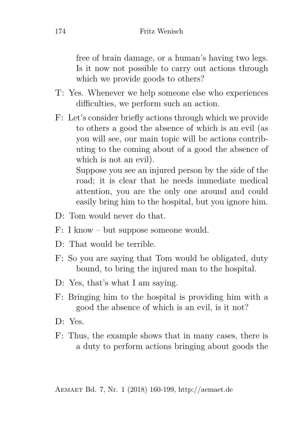free of brain damage, or a human's having two legs. Is it now not possible to carry out actions through which we provide goods to others?

- T: Yes. Whenever we help someone else who experiences difficulties, we perform such an action.
- F: Let's consider briefly actions through which we provide to others a good the absence of which is an evil (as you will see, our main topic will be actions contributing to the coming about of a good the absence of which is not an evil).

Suppose you see an injured person by the side of the road; it is clear that he needs immediate medical attention, you are the only one around and could easily bring him to the hospital, but you ignore him.

- D: Tom would never do that.
- F: I know but suppose someone would.
- D: That would be terrible.
- F: So you are saying that Tom would be obligated, duty bound, to bring the injured man to the hospital.
- D: Yes, that's what I am saying.
- F: Bringing him to the hospital is providing him with a good the absence of which is an evil, is it not?
- D: Yes.
- F: Thus, the example shows that in many cases, there is a duty to perform actions bringing about goods the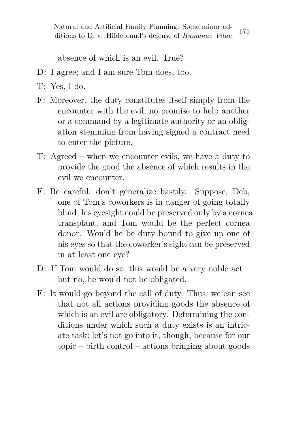absence of which is an evil. True?

- D: I agree; and I am sure Tom does, too.
- T: Yes, I do.
- F: Moreover, the duty constitutes itself simply from the encounter with the evil; no promise to help another or a command by a legitimate authority or an obligation stemming from having signed a contract need to enter the picture.
- T: Agreed when we encounter evils, we have a duty to provide the good the absence of which results in the evil we encounter.
- F: Be careful; don't generalize hastily. Suppose, Deb, one of Tom's coworkers is in danger of going totally blind, his eyesight could be preserved only by a cornea transplant, and Tom would be the perfect cornea donor. Would he be duty bound to give up one of his eyes so that the coworker's sight can be preserved in at least one eye?
- D: If Tom would do so, this would be a very noble act but no, he would not be obligated.
- F: It would go beyond the call of duty. Thus, we can see that not all actions providing goods the absence of which is an evil are obligatory. Determining the conditions under which such a duty exists is an intricate task; let's not go into it, though, because for our topic – birth control – actions bringing about goods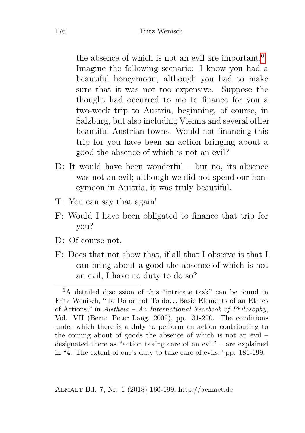the absence of which is not an evil are important.[6](#page-16-0) Imagine the following scenario: I know you had a beautiful honeymoon, although you had to make sure that it was not too expensive. Suppose the thought had occurred to me to finance for you a two-week trip to Austria, beginning, of course, in Salzburg, but also including Vienna and several other beautiful Austrian towns. Would not financing this trip for you have been an action bringing about a good the absence of which is not an evil?

- D: It would have been wonderful but no, its absence was not an evil; although we did not spend our honeymoon in Austria, it was truly beautiful.
- T: You can say that again!
- F: Would I have been obligated to finance that trip for you?
- D: Of course not.
- F: Does that not show that, if all that I observe is that I can bring about a good the absence of which is not an evil, I have no duty to do so?

<span id="page-16-0"></span> $6A$  detailed discussion of this "intricate task" can be found in Fritz Wenisch, "To Do or not To do. . . Basic Elements of an Ethics of Actions," in *Aletheia – An International Yearbook of Philosophy*, Vol. VII (Bern: Peter Lang, 2002), pp. 31-220. The conditions under which there is a duty to perform an action contributing to the coming about of goods the absence of which is not an evil – designated there as "action taking care of an evil" – are explained in "4. The extent of one's duty to take care of evils," pp. 181-199.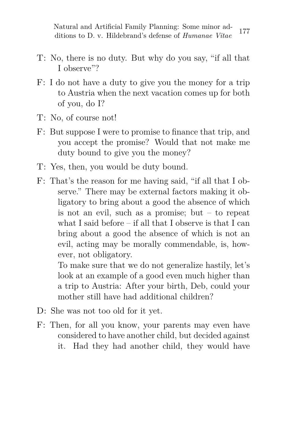- T: No, there is no duty. But why do you say, "if all that I observe"?
- F: I do not have a duty to give you the money for a trip to Austria when the next vacation comes up for both of you, do I?
- T: No, of course not!
- F: But suppose I were to promise to finance that trip, and you accept the promise? Would that not make me duty bound to give you the money?
- T: Yes, then, you would be duty bound.
- F: That's the reason for me having said, "if all that I observe." There may be external factors making it obligatory to bring about a good the absence of which is not an evil, such as a promise; but – to repeat what I said before – if all that I observe is that I can bring about a good the absence of which is not an evil, acting may be morally commendable, is, however, not obligatory.

To make sure that we do not generalize hastily, let's look at an example of a good even much higher than a trip to Austria: After your birth, Deb, could your mother still have had additional children?

- D: She was not too old for it yet.
- F: Then, for all you know, your parents may even have considered to have another child, but decided against it. Had they had another child, they would have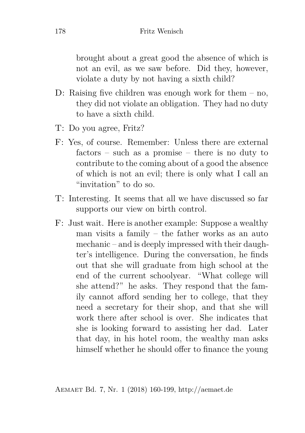brought about a great good the absence of which is not an evil, as we saw before. Did they, however, violate a duty by not having a sixth child?

- D: Raising five children was enough work for them no, they did not violate an obligation. They had no duty to have a sixth child.
- T: Do you agree, Fritz?
- F: Yes, of course. Remember: Unless there are external factors – such as a promise – there is no duty to contribute to the coming about of a good the absence of which is not an evil; there is only what I call an "invitation" to do so.
- T: Interesting. It seems that all we have discussed so far supports our view on birth control.
- F: Just wait. Here is another example: Suppose a wealthy man visits a family – the father works as an auto mechanic – and is deeply impressed with their daughter's intelligence. During the conversation, he finds out that she will graduate from high school at the end of the current schoolyear. "What college will she attend?" he asks. They respond that the family cannot afford sending her to college, that they need a secretary for their shop, and that she will work there after school is over. She indicates that she is looking forward to assisting her dad. Later that day, in his hotel room, the wealthy man asks himself whether he should offer to finance the young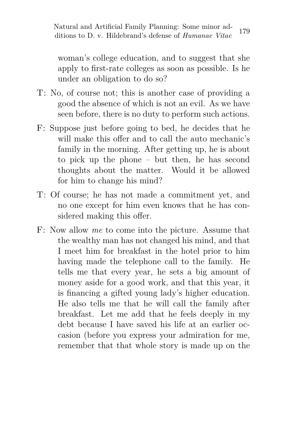woman's college education, and to suggest that she apply to first-rate colleges as soon as possible. Is he under an obligation to do so?

- T: No, of course not; this is another case of providing a good the absence of which is not an evil. As we have seen before, there is no duty to perform such actions.
- F: Suppose just before going to bed, he decides that he will make this offer and to call the auto mechanic's family in the morning. After getting up, he is about to pick up the phone – but then, he has second thoughts about the matter. Would it be allowed for him to change his mind?
- T: Of course; he has not made a commitment yet, and no one except for him even knows that he has considered making this offer.
- F: Now allow *me* to come into the picture. Assume that the wealthy man has not changed his mind, and that I meet him for breakfast in the hotel prior to him having made the telephone call to the family. He tells me that every year, he sets a big amount of money aside for a good work, and that this year, it is financing a gifted young lady's higher education. He also tells me that he will call the family after breakfast. Let me add that he feels deeply in my debt because I have saved his life at an earlier occasion (before you express your admiration for me, remember that that whole story is made up on the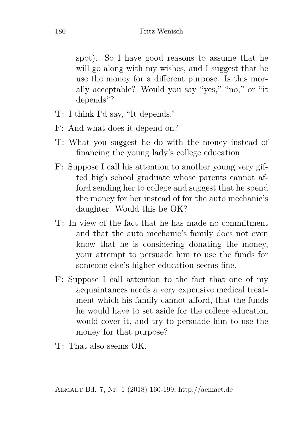spot). So I have good reasons to assume that he will go along with my wishes, and I suggest that he use the money for a different purpose. Is this morally acceptable? Would you say "yes," "no," or "it depends"?

- T: I think I'd say, "It depends."
- F: And what does it depend on?
- T: What you suggest he do with the money instead of financing the young lady's college education.
- F: Suppose I call his attention to another young very gifted high school graduate whose parents cannot afford sending her to college and suggest that he spend the money for her instead of for the auto mechanic's daughter. Would this be OK?
- T: In view of the fact that he has made no commitment and that the auto mechanic's family does not even know that he is considering donating the money, your attempt to persuade him to use the funds for someone else's higher education seems fine.
- F: Suppose I call attention to the fact that one of my acquaintances needs a very expensive medical treatment which his family cannot afford, that the funds he would have to set aside for the college education would cover it, and try to persuade him to use the money for that purpose?
- $T^{\prime}$ . That also seems OK.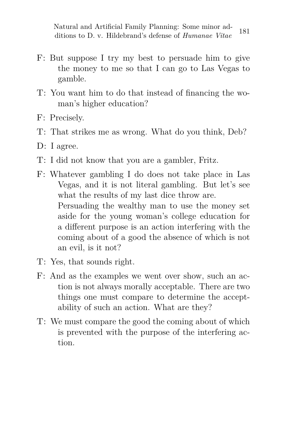- F: But suppose I try my best to persuade him to give the money to me so that I can go to Las Vegas to gamble.
- T: You want him to do that instead of financing the woman's higher education?
- F: Precisely.
- T: That strikes me as wrong. What do you think, Deb?
- D: I agree.
- T: I did not know that you are a gambler, Fritz.
- F: Whatever gambling I do does not take place in Las Vegas, and it is not literal gambling. But let's see what the results of my last dice throw are. Persuading the wealthy man to use the money set aside for the young woman's college education for a different purpose is an action interfering with the coming about of a good the absence of which is not an evil, is it not?
- T: Yes, that sounds right.
- F: And as the examples we went over show, such an action is not always morally acceptable. There are two things one must compare to determine the acceptability of such an action. What are they?
- T: We must compare the good the coming about of which is prevented with the purpose of the interfering action.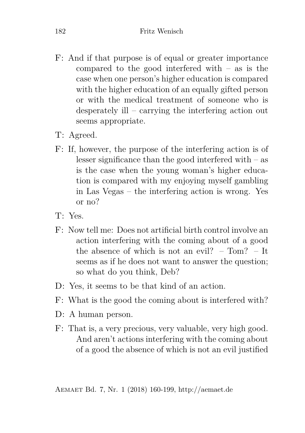- F: And if that purpose is of equal or greater importance compared to the good interfered with – as is the case when one person's higher education is compared with the higher education of an equally gifted person or with the medical treatment of someone who is desperately ill – carrying the interfering action out seems appropriate.
- T: Agreed.
- F: If, however, the purpose of the interfering action is of lesser significance than the good interfered with – as is the case when the young woman's higher education is compared with my enjoying myself gambling in Las Vegas – the interfering action is wrong. Yes or no?
- T: Yes.
- F: Now tell me: Does not artificial birth control involve an action interfering with the coming about of a good the absence of which is not an evil? –  $T<sub>om</sub>$ ? – It seems as if he does not want to answer the question; so what do you think, Deb?
- D: Yes, it seems to be that kind of an action.
- F: What is the good the coming about is interfered with?
- D: A human person.
- F: That is, a very precious, very valuable, very high good. And aren't actions interfering with the coming about of a good the absence of which is not an evil justified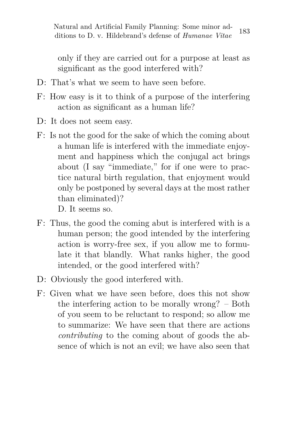only if they are carried out for a purpose at least as significant as the good interfered with?

- $D^{\dagger}$ . That's what we seem to have seen before.
- F: How easy is it to think of a purpose of the interfering action as significant as a human life?
- D: It does not seem easy.
- F: Is not the good for the sake of which the coming about a human life is interfered with the immediate enjoyment and happiness which the conjugal act brings about (I say "immediate," for if one were to practice natural birth regulation, that enjoyment would only be postponed by several days at the most rather than eliminated)?

D. It seems so.

- F: Thus, the good the coming abut is interfered with is a human person; the good intended by the interfering action is worry-free sex, if you allow me to formulate it that blandly. What ranks higher, the good intended, or the good interfered with?
- D: Obviously the good interfered with.
- F: Given what we have seen before, does this not show the interfering action to be morally wrong? – Both of you seem to be reluctant to respond; so allow me to summarize: We have seen that there are actions *contributing* to the coming about of goods the absence of which is not an evil; we have also seen that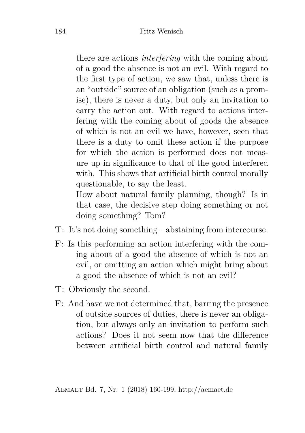there are actions *interfering* with the coming about of a good the absence is not an evil. With regard to the first type of action, we saw that, unless there is an "outside" source of an obligation (such as a promise), there is never a duty, but only an invitation to carry the action out. With regard to actions interfering with the coming about of goods the absence of which is not an evil we have, however, seen that there is a duty to omit these action if the purpose for which the action is performed does not measure up in significance to that of the good interfered with. This shows that artificial birth control morally questionable, to say the least.

How about natural family planning, though? Is in that case, the decisive step doing something or not doing something? Tom?

- T: It's not doing something abstaining from intercourse.
- F: Is this performing an action interfering with the coming about of a good the absence of which is not an evil, or omitting an action which might bring about a good the absence of which is not an evil?
- T: Obviously the second.
- F: And have we not determined that, barring the presence of outside sources of duties, there is never an obligation, but always only an invitation to perform such actions? Does it not seem now that the difference between artificial birth control and natural family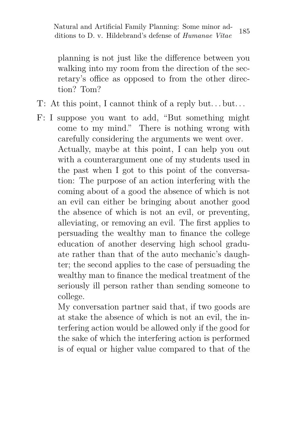planning is not just like the difference between you walking into my room from the direction of the secretary's office as opposed to from the other direction? Tom?

- T: At this point, I cannot think of a reply but. . . but. . .
- F: I suppose you want to add, "But something might come to my mind." There is nothing wrong with carefully considering the arguments we went over. Actually, maybe at this point, I can help you out with a counterargument one of my students used in the past when I got to this point of the conversation: The purpose of an action interfering with the coming about of a good the absence of which is not an evil can either be bringing about another good the absence of which is not an evil, or preventing, alleviating, or removing an evil. The first applies to persuading the wealthy man to finance the college education of another deserving high school graduate rather than that of the auto mechanic's daughter; the second applies to the case of persuading the wealthy man to finance the medical treatment of the seriously ill person rather than sending someone to college.

My conversation partner said that, if two goods are at stake the absence of which is not an evil, the interfering action would be allowed only if the good for the sake of which the interfering action is performed is of equal or higher value compared to that of the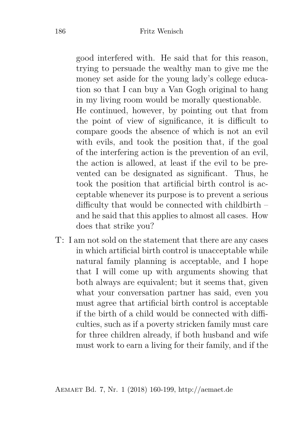good interfered with. He said that for this reason, trying to persuade the wealthy man to give me the money set aside for the young lady's college education so that I can buy a Van Gogh original to hang in my living room would be morally questionable.

He continued, however, by pointing out that from the point of view of significance, it is difficult to compare goods the absence of which is not an evil with evils, and took the position that, if the goal of the interfering action is the prevention of an evil, the action is allowed, at least if the evil to be prevented can be designated as significant. Thus, he took the position that artificial birth control is acceptable whenever its purpose is to prevent a serious difficulty that would be connected with childbirth – and he said that this applies to almost all cases. How does that strike you?

T: I am not sold on the statement that there are any cases in which artificial birth control is unacceptable while natural family planning is acceptable, and I hope that I will come up with arguments showing that both always are equivalent; but it seems that, given what your conversation partner has said, even you must agree that artificial birth control is acceptable if the birth of a child would be connected with difficulties, such as if a poverty stricken family must care for three children already, if both husband and wife must work to earn a living for their family, and if the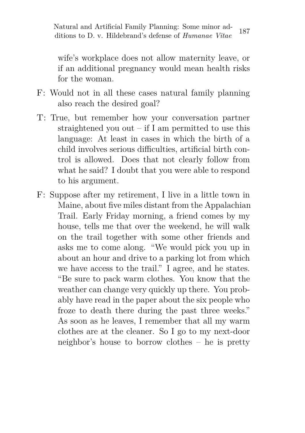wife's workplace does not allow maternity leave, or if an additional pregnancy would mean health risks for the woman.

- F: Would not in all these cases natural family planning also reach the desired goal?
- T: True, but remember how your conversation partner straightened you out – if I am permitted to use this language: At least in cases in which the birth of a child involves serious difficulties, artificial birth control is allowed. Does that not clearly follow from what he said? I doubt that you were able to respond to his argument.
- F: Suppose after my retirement, I live in a little town in Maine, about five miles distant from the Appalachian Trail. Early Friday morning, a friend comes by my house, tells me that over the weekend, he will walk on the trail together with some other friends and asks me to come along. "We would pick you up in about an hour and drive to a parking lot from which we have access to the trail." I agree, and he states. "Be sure to pack warm clothes. You know that the weather can change very quickly up there. You probably have read in the paper about the six people who froze to death there during the past three weeks." As soon as he leaves, I remember that all my warm clothes are at the cleaner. So I go to my next-door neighbor's house to borrow clothes – he is pretty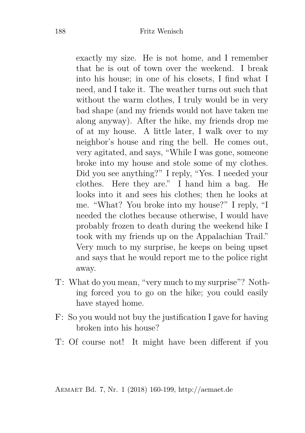exactly my size. He is not home, and I remember that he is out of town over the weekend. I break into his house; in one of his closets, I find what I need, and I take it. The weather turns out such that without the warm clothes, I truly would be in very bad shape (and my friends would not have taken me along anyway). After the hike, my friends drop me of at my house. A little later, I walk over to my neighbor's house and ring the bell. He comes out, very agitated, and says, "While I was gone, someone broke into my house and stole some of my clothes. Did you see anything?" I reply, "Yes. I needed your clothes. Here they are." I hand him a bag. He looks into it and sees his clothes; then he looks at me. "What? You broke into my house?" I reply, "I needed the clothes because otherwise, I would have probably frozen to death during the weekend hike I took with my friends up on the Appalachian Trail." Very much to my surprise, he keeps on being upset and says that he would report me to the police right away.

- T: What do you mean, "very much to my surprise"? Nothing forced you to go on the hike; you could easily have stayed home.
- F: So you would not buy the justification I gave for having broken into his house?
- T: Of course not! It might have been different if you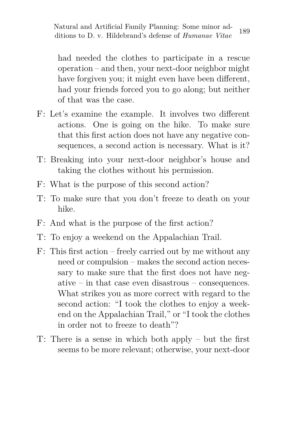had needed the clothes to participate in a rescue operation – and then, your next-door neighbor might have forgiven you; it might even have been different, had your friends forced you to go along; but neither of that was the case.

- F: Let's examine the example. It involves two different actions. One is going on the hike. To make sure that this first action does not have any negative consequences, a second action is necessary. What is it?
- T: Breaking into your next-door neighbor's house and taking the clothes without his permission.
- F: What is the purpose of this second action?
- T: To make sure that you don't freeze to death on your hike.
- F: And what is the purpose of the first action?
- T: To enjoy a weekend on the Appalachian Trail.
- F: This first action freely carried out by me without any need or compulsion – makes the second action necessary to make sure that the first does not have negative – in that case even disastrous – consequences. What strikes you as more correct with regard to the second action: "I took the clothes to enjoy a weekend on the Appalachian Trail," or "I took the clothes in order not to freeze to death"?
- T: There is a sense in which both apply but the first seems to be more relevant; otherwise, your next-door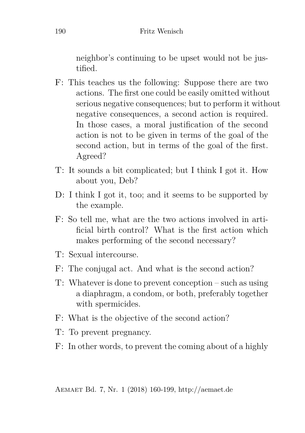neighbor's continuing to be upset would not be justified.

- F: This teaches us the following: Suppose there are two actions. The first one could be easily omitted without serious negative consequences; but to perform it without negative consequences, a second action is required. In those cases, a moral justification of the second action is not to be given in terms of the goal of the second action, but in terms of the goal of the first. Agreed?
- T: It sounds a bit complicated; but I think I got it. How about you, Deb?
- D: I think I got it, too; and it seems to be supported by the example.
- F: So tell me, what are the two actions involved in artificial birth control? What is the first action which makes performing of the second necessary?
- T: Sexual intercourse.
- F: The conjugal act. And what is the second action?
- T: Whatever is done to prevent conception such as using a diaphragm, a condom, or both, preferably together with spermicides.
- F: What is the objective of the second action?
- T: To prevent pregnancy.
- F: In other words, to prevent the coming about of a highly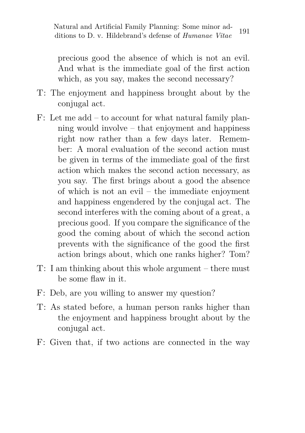precious good the absence of which is not an evil. And what is the immediate goal of the first action which, as you say, makes the second necessary?

- T: The enjoyment and happiness brought about by the conjugal act.
- F: Let me add to account for what natural family planning would involve – that enjoyment and happiness right now rather than a few days later. Remember: A moral evaluation of the second action must be given in terms of the immediate goal of the first action which makes the second action necessary, as you say. The first brings about a good the absence of which is not an evil – the immediate enjoyment and happiness engendered by the conjugal act. The second interferes with the coming about of a great, a precious good. If you compare the significance of the good the coming about of which the second action prevents with the significance of the good the first action brings about, which one ranks higher? Tom?
- T: I am thinking about this whole argument there must be some flaw in it.
- F: Deb, are you willing to answer my question?
- T: As stated before, a human person ranks higher than the enjoyment and happiness brought about by the conjugal act.
- F: Given that, if two actions are connected in the way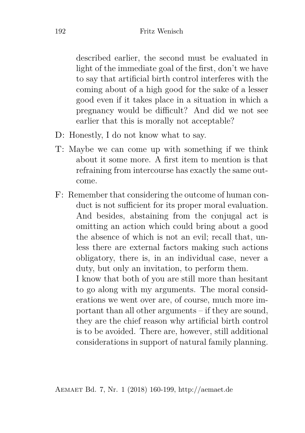described earlier, the second must be evaluated in light of the immediate goal of the first, don't we have to say that artificial birth control interferes with the coming about of a high good for the sake of a lesser good even if it takes place in a situation in which a pregnancy would be difficult? And did we not see earlier that this is morally not acceptable?

- D: Honestly, I do not know what to say.
- T: Maybe we can come up with something if we think about it some more. A first item to mention is that refraining from intercourse has exactly the same outcome.
- F: Remember that considering the outcome of human conduct is not sufficient for its proper moral evaluation. And besides, abstaining from the conjugal act is omitting an action which could bring about a good the absence of which is not an evil; recall that, unless there are external factors making such actions obligatory, there is, in an individual case, never a duty, but only an invitation, to perform them.

I know that both of you are still more than hesitant to go along with my arguments. The moral considerations we went over are, of course, much more important than all other arguments – if they are sound, they are the chief reason why artificial birth control is to be avoided. There are, however, still additional considerations in support of natural family planning.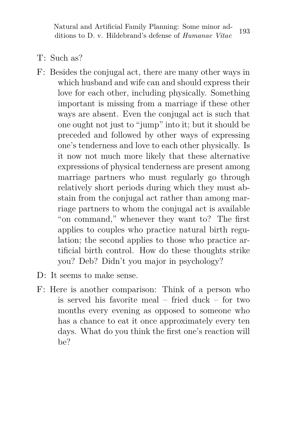- T: Such as?
- F: Besides the conjugal act, there are many other ways in which husband and wife can and should express their love for each other, including physically. Something important is missing from a marriage if these other ways are absent. Even the conjugal act is such that one ought not just to "jump" into it; but it should be preceded and followed by other ways of expressing one's tenderness and love to each other physically. Is it now not much more likely that these alternative expressions of physical tenderness are present among marriage partners who must regularly go through relatively short periods during which they must abstain from the conjugal act rather than among marriage partners to whom the conjugal act is available "on command," whenever they want to? The first applies to couples who practice natural birth regulation; the second applies to those who practice artificial birth control. How do these thoughts strike you? Deb? Didn't you major in psychology?
- D: It seems to make sense.
- F: Here is another comparison: Think of a person who is served his favorite meal – fried duck – for two months every evening as opposed to someone who has a chance to eat it once approximately every ten days. What do you think the first one's reaction will be?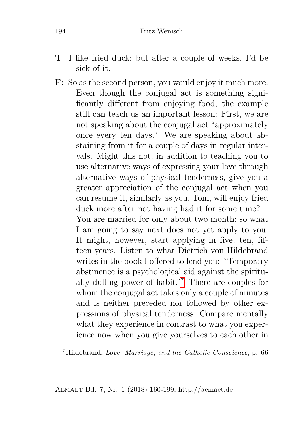- T: I like fried duck; but after a couple of weeks, I'd be sick of it.
- F: So as the second person, you would enjoy it much more. Even though the conjugal act is something significantly different from enjoying food, the example still can teach us an important lesson: First, we are not speaking about the conjugal act "approximately once every ten days." We are speaking about abstaining from it for a couple of days in regular intervals. Might this not, in addition to teaching you to use alternative ways of expressing your love through alternative ways of physical tenderness, give you a greater appreciation of the conjugal act when you can resume it, similarly as you, Tom, will enjoy fried duck more after not having had it for some time? You are married for only about two month; so what I am going to say next does not yet apply to you. It might, however, start applying in five, ten, fifteen years. Listen to what Dietrich von Hildebrand writes in the book I offered to lend you: "Temporary abstinence is a psychological aid against the spiritually dulling power of habit."[7](#page-34-0) There are couples for whom the conjugal act takes only a couple of minutes and is neither preceded nor followed by other expressions of physical tenderness. Compare mentally what they experience in contrast to what you experience now when you give yourselves to each other in

<span id="page-34-0"></span><sup>7</sup>Hildebrand, *Love, Marriage, and the Catholic Conscience*, p. 66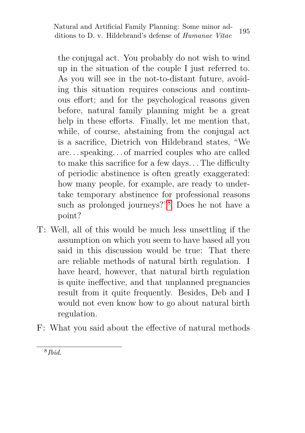the conjugal act. You probably do not wish to wind up in the situation of the couple I just referred to. As you will see in the not-to-distant future, avoiding this situation requires conscious and continuous effort; and for the psychological reasons given before, natural family planning might be a great help in these efforts. Finally, let me mention that, while, of course, abstaining from the conjugal act is a sacrifice, Dietrich von Hildebrand states, "We are. . . speaking. . . of married couples who are called to make this sacrifice for a few days. . . The difficulty of periodic abstinence is often greatly exaggerated: how many people, for example, are ready to undertake temporary abstinence for professional reasons such as prolonged journeys?"[8](#page-35-0) Does he not have a point?

- T: Well, all of this would be much less unsettling if the assumption on which you seem to have based all you said in this discussion would be true: That there are reliable methods of natural birth regulation. I have heard, however, that natural birth regulation is quite ineffective, and that unplanned pregnancies result from it quite frequently. Besides, Deb and I would not even know how to go about natural birth regulation.
- F: What you said about the effective of natural methods

<span id="page-35-0"></span><sup>8</sup> *Ibid*.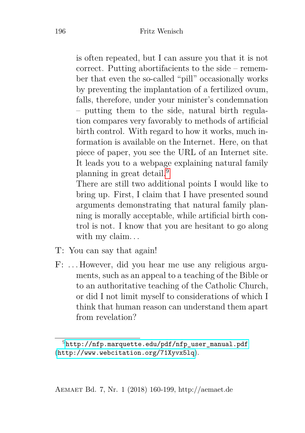is often repeated, but I can assure you that it is not correct. Putting abortifacients to the side – remember that even the so-called "pill" occasionally works by preventing the implantation of a fertilized ovum, falls, therefore, under your minister's condemnation – putting them to the side, natural birth regulation compares very favorably to methods of artificial birth control. With regard to how it works, much information is available on the Internet. Here, on that piece of paper, you see the URL of an Internet site. It leads you to a webpage explaining natural family planning in great detail.[9](#page-36-0)

There are still two additional points I would like to bring up. First, I claim that I have presented sound arguments demonstrating that natural family planning is morally acceptable, while artificial birth control is not. I know that you are hesitant to go along with my claim...

- T: You can say that again!
- F: . . . However, did you hear me use any religious arguments, such as an appeal to a teaching of the Bible or to an authoritative teaching of the Catholic Church, or did I not limit myself to considerations of which I think that human reason can understand them apart from revelation?

<span id="page-36-0"></span> $9$ [http://nfp.marquette.edu/pdf/nfp\\_user\\_manual.pdf](http://nfp.marquette.edu/pdf/nfp_user_manual.pdf) (<http://www.webcitation.org/71Xyvx5lq>).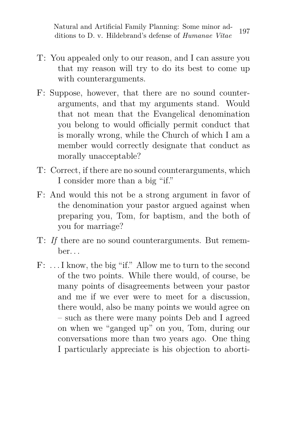- T: You appealed only to our reason, and I can assure you that my reason will try to do its best to come up with counterarguments.
- F: Suppose, however, that there are no sound counterarguments, and that my arguments stand. Would that not mean that the Evangelical denomination you belong to would officially permit conduct that is morally wrong, while the Church of which I am a member would correctly designate that conduct as morally unacceptable?
- T: Correct, if there are no sound counterarguments, which I consider more than a big "if."
- F: And would this not be a strong argument in favor of the denomination your pastor argued against when preparing you, Tom, for baptism, and the both of you for marriage?
- T: *If* there are no sound counterarguments. But remember. . .
- F: . . . I know, the big "if." Allow me to turn to the second of the two points. While there would, of course, be many points of disagreements between your pastor and me if we ever were to meet for a discussion, there would, also be many points we would agree on – such as there were many points Deb and I agreed on when we "ganged up" on you, Tom, during our conversations more than two years ago. One thing I particularly appreciate is his objection to aborti-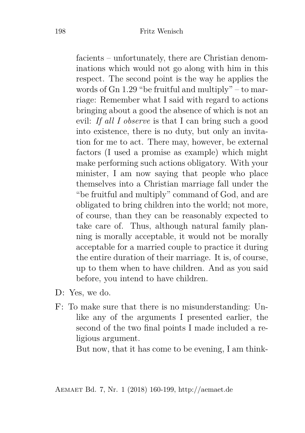facients – unfortunately, there are Christian denominations which would not go along with him in this respect. The second point is the way he applies the words of Gn 1.29 "be fruitful and multiply" – to marriage: Remember what I said with regard to actions bringing about a good the absence of which is not an evil: *If all I observe* is that I can bring such a good into existence, there is no duty, but only an invitation for me to act. There may, however, be external factors (I used a promise as example) which might make performing such actions obligatory. With your minister, I am now saying that people who place themselves into a Christian marriage fall under the "be fruitful and multiply" command of God, and are obligated to bring children into the world; not more, of course, than they can be reasonably expected to take care of. Thus, although natural family planning is morally acceptable, it would not be morally acceptable for a married couple to practice it during the entire duration of their marriage. It is, of course, up to them when to have children. And as you said before, you intend to have children.

- D: Yes, we do.
- F: To make sure that there is no misunderstanding: Unlike any of the arguments I presented earlier, the second of the two final points I made included a religious argument.

But now, that it has come to be evening, I am think-